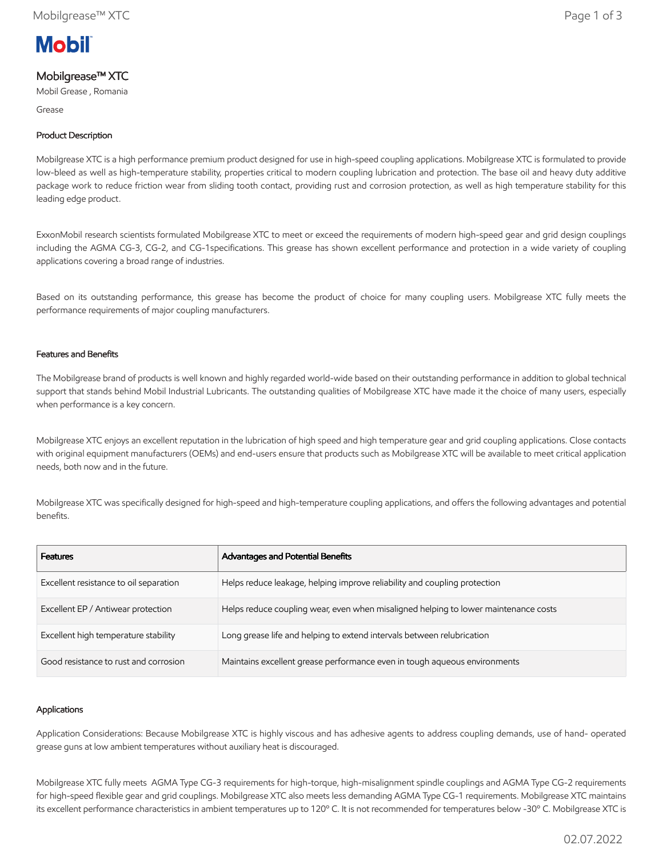

# Mobilgrease™ XTC

Mobil Grease , Romania

Grease

## Product Description

Mobilgrease XTC is a high performance premium product designed for use in high-speed coupling applications. Mobilgrease XTC is formulated to provide low-bleed as well as high-temperature stability, properties critical to modern coupling lubrication and protection. The base oil and heavy duty additive package work to reduce friction wear from sliding tooth contact, providing rust and corrosion protection, as well as high temperature stability for this leading edge product.

ExxonMobil research scientists formulated Mobilgrease XTC to meet or exceed the requirements of modern high-speed gear and grid design couplings including the AGMA CG-3, CG-2, and CG-1specifications. This grease has shown excellent performance and protection in a wide variety of coupling applications covering a broad range of industries.

Based on its outstanding performance, this grease has become the product of choice for many coupling users. Mobilgrease XTC fully meets the performance requirements of major coupling manufacturers.

### Features and Benefits

The Mobilgrease brand of products is well known and highly regarded world-wide based on their outstanding performance in addition to global technical support that stands behind Mobil Industrial Lubricants. The outstanding qualities of Mobilgrease XTC have made it the choice of many users, especially when performance is a key concern.

Mobilgrease XTC enjoys an excellent reputation in the lubrication of high speed and high temperature gear and grid coupling applications. Close contacts with original equipment manufacturers (OEMs) and end-users ensure that products such as Mobilgrease XTC will be available to meet critical application needs, both now and in the future.

Mobilgrease XTC was specifically designed for high-speed and high-temperature coupling applications, and offers the following advantages and potential benefits.

| <b>Features</b>                        | Advantages and Potential Benefits                                                   |
|----------------------------------------|-------------------------------------------------------------------------------------|
| Excellent resistance to oil separation | Helps reduce leakage, helping improve reliability and coupling protection           |
| Excellent EP / Antiwear protection     | Helps reduce coupling wear, even when misaligned helping to lower maintenance costs |
| Excellent high temperature stability   | Long grease life and helping to extend intervals between relubrication              |
| Good resistance to rust and corrosion  | Maintains excellent grease performance even in tough aqueous environments           |

#### Applications

Application Considerations: Because Mobilgrease XTC is highly viscous and has adhesive agents to address coupling demands, use of hand- operated grease guns at low ambient temperatures without auxiliary heat is discouraged.

Mobilgrease XTC fully meets AGMA Type CG-3 requirements for high-torque, high-misalignment spindle couplings and AGMA Type CG-2 requirements for high-speed flexible gear and grid couplings. Mobilgrease XTC also meets less demanding AGMA Type CG-1 requirements. Mobilgrease XTC maintains its excellent performance characteristics in ambient temperatures up to 120º C. It is not recommended for temperatures below -30º C. Mobilgrease XTC is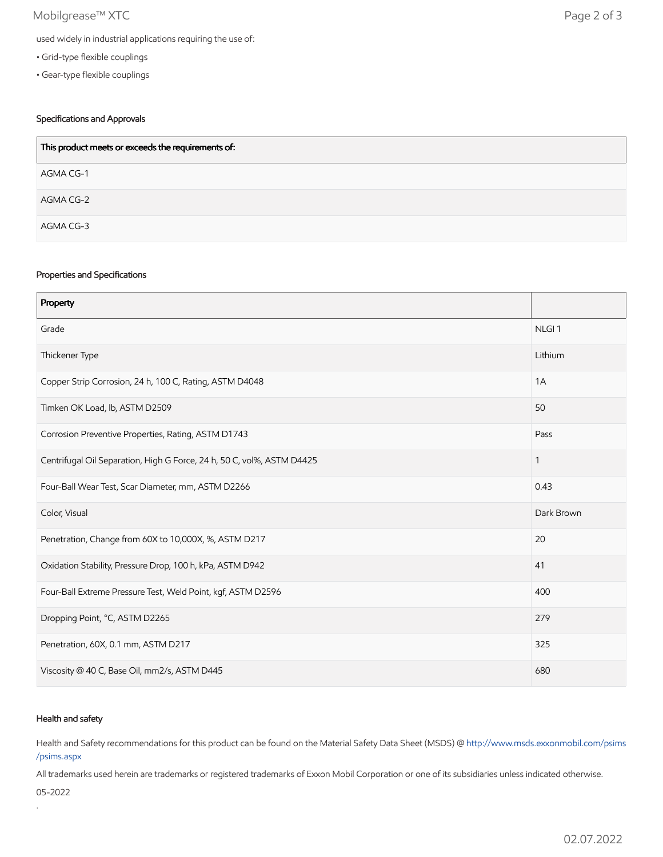## Mobilgrease™ XTC Page 2 of 3

- Grid-type flexible couplings
- Gear-type flexible couplings

## Specifications and Approvals

| This product meets or exceeds the requirements of: |
|----------------------------------------------------|
| AGMA CG-1                                          |
| AGMA CG-2                                          |
| AGMA CG-3                                          |

#### Properties and Specifications

| Property                                                               |                   |
|------------------------------------------------------------------------|-------------------|
| Grade                                                                  | NLGI <sub>1</sub> |
| Thickener Type                                                         | Lithium           |
| Copper Strip Corrosion, 24 h, 100 C, Rating, ASTM D4048                | 1A                |
| Timken OK Load, lb, ASTM D2509                                         | 50                |
| Corrosion Preventive Properties, Rating, ASTM D1743                    | Pass              |
| Centrifugal Oil Separation, High G Force, 24 h, 50 C, vol%, ASTM D4425 | 1                 |
| Four-Ball Wear Test, Scar Diameter, mm, ASTM D2266                     | 0.43              |
| Color, Visual                                                          | Dark Brown        |
| Penetration, Change from 60X to 10,000X, %, ASTM D217                  | 20                |
| Oxidation Stability, Pressure Drop, 100 h, kPa, ASTM D942              | 41                |
| Four-Ball Extreme Pressure Test, Weld Point, kgf, ASTM D2596           | 400               |
| Dropping Point, °C, ASTM D2265                                         | 279               |
| Penetration, 60X, 0.1 mm, ASTM D217                                    | 325               |
| Viscosity @ 40 C, Base Oil, mm2/s, ASTM D445                           | 680               |

### Health and safety

Health and Safety recommendations for this product can be found on the Material Safety Data Sheet (MSDS) @ [http://www.msds.exxonmobil.com/psims](http://www.msds.exxonmobil.com/psims/psims.aspx) /psims.aspx

All trademarks used herein are trademarks or registered trademarks of Exxon Mobil Corporation or one of its subsidiaries unless indicated otherwise.

05-2022

.